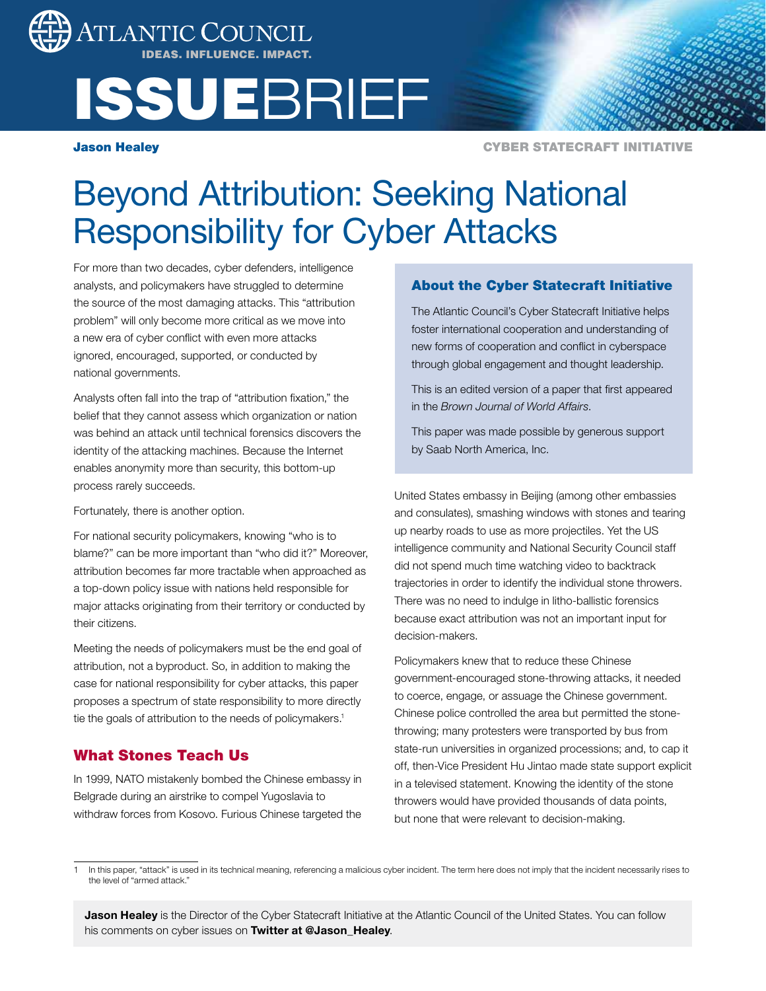

# **ISSUEBRIEF**

Jason Healey

CYBER STATECRAFT INITIATIVE

# Beyond Attribution: Seeking National Responsibility for Cyber Attacks

For more than two decades, cyber defenders, intelligence analysts, and policymakers have struggled to determine the source of the most damaging attacks. This "attribution problem" will only become more critical as we move into a new era of cyber conflict with even more attacks ignored, encouraged, supported, or conducted by national governments.

Analysts often fall into the trap of "attribution fixation," the belief that they cannot assess which organization or nation was behind an attack until technical forensics discovers the identity of the attacking machines. Because the Internet enables anonymity more than security, this bottom-up process rarely succeeds.

Fortunately, there is another option.

For national security policymakers, knowing "who is to blame?" can be more important than "who did it?" Moreover, attribution becomes far more tractable when approached as a top-down policy issue with nations held responsible for major attacks originating from their territory or conducted by their citizens.

Meeting the needs of policymakers must be the end goal of attribution, not a byproduct. So, in addition to making the case for national responsibility for cyber attacks, this paper proposes a spectrum of state responsibility to more directly tie the goals of attribution to the needs of policymakers.<sup>1</sup>

# What Stones Teach Us

In 1999, NATO mistakenly bombed the Chinese embassy in Belgrade during an airstrike to compel Yugoslavia to withdraw forces from Kosovo. Furious Chinese targeted the

# About the Cyber Statecraft Initiative

The Atlantic Council's Cyber Statecraft Initiative helps foster international cooperation and understanding of new forms of cooperation and conflict in cyberspace through global engagement and thought leadership.

This is an edited version of a paper that first appeared in the *Brown Journal of World Affairs*.

This paper was made possible by generous support by Saab North America, Inc.

United States embassy in Beijing (among other embassies and consulates), smashing windows with stones and tearing up nearby roads to use as more projectiles. Yet the US intelligence community and National Security Council staff did not spend much time watching video to backtrack trajectories in order to identify the individual stone throwers. There was no need to indulge in litho-ballistic forensics because exact attribution was not an important input for decision-makers.

Policymakers knew that to reduce these Chinese government-encouraged stone-throwing attacks, it needed to coerce, engage, or assuage the Chinese government. Chinese police controlled the area but permitted the stonethrowing; many protesters were transported by bus from state-run universities in organized processions; and, to cap it off, then-Vice President Hu Jintao made state support explicit in a televised statement. Knowing the identity of the stone throwers would have provided thousands of data points, but none that were relevant to decision-making.

Jason Healey is the Director of the Cyber Statecraft Initiative at the Atlantic Council of the United States. You can follow his comments on cyber issues on Twitter at @Jason\_Healey.

In this paper, "attack" is used in its technical meaning, referencing a malicious cyber incident. The term here does not imply that the incident necessarily rises to the level of "armed attack.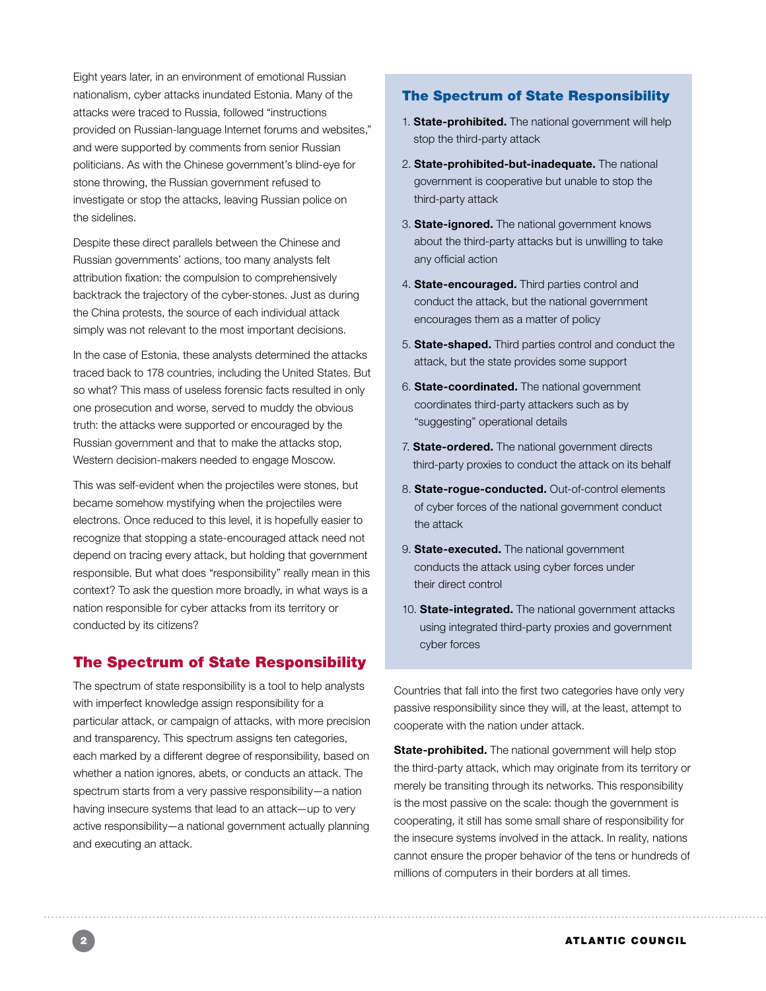Eight years later, in an environment of emotional Russian nationalism, cyber attacks inundated Estonia. Many of the attacks were traced to Russia, followed "instructions provided on Russian-language Internet forums and websites," and were supported by comments from senior Russian politicians. As with the Chinese government's blind-eye for stone throwing, the Russian government refused to investigate or stop the attacks, leaving Russian police on the sidelines.

Despite these direct parallels between the Chinese and Russian governments' actions, too many analysts felt attribution fixation: the compulsion to comprehensively backtrack the trajectory of the cyber-stones. Just as during the China protests, the source of each individual attack simply was not relevant to the most important decisions.

In the case of Estonia, these analysts determined the attacks traced back to 178 countries, including the United States. But so what? This mass of useless forensic facts resulted in only one prosecution and worse, served to muddy the obvious truth: the attacks were supported or encouraged by the Russian government and that to make the attacks stop, Western decision-makers needed to engage Moscow.

This was self-evident when the projectiles were stones, but became somehow mystifying when the projectiles were electrons. Once reduced to this level, it is hopefully easier to recognize that stopping a state-encouraged attack need not depend on tracing every attack, but holding that government responsible. But what does "responsibility" really mean in this context? To ask the question more broadly, in what ways is a nation responsible for cyber attacks from its territory or conducted by its citizens?

# The Spectrum of State Responsibility

The spectrum of state responsibility is a tool to help analysts with imperfect knowledge assign responsibility for a particular attack, or campaign of attacks, with more precision and transparency. This spectrum assigns ten categories, each marked by a different degree of responsibility, based on whether a nation ignores, abets, or conducts an attack. The spectrum starts from a very passive responsibility—a nation having insecure systems that lead to an attack—up to very active responsibility—a national government actually planning and executing an attack.

### The Spectrum of State Responsibility

- 1. State-prohibited. The national government will help stop the third-party attack
- 2. State-prohibited-but-inadequate. The national government is cooperative but unable to stop the third-party attack
- 3. **State-ignored.** The national government knows about the third-party attacks but is unwilling to take any official action
- 4. State-encouraged. Third parties control and conduct the attack, but the national government encourages them as a matter of policy
- 5. State-shaped. Third parties control and conduct the attack, but the state provides some support
- 6. State-coordinated. The national government coordinates third-party attackers such as by "suggesting" operational details
- 7. State-ordered. The national government directs third-party proxies to conduct the attack on its behalf
- 8. State-rogue-conducted. Out-of-control elements of cyber forces of the national government conduct the attack
- 9. **State-executed.** The national government conducts the attack using cyber forces under their direct control
- 10. State-integrated. The national government attacks using integrated third-party proxies and government cyber forces

Countries that fall into the first two categories have only very passive responsibility since they will, at the least, attempt to cooperate with the nation under attack.

State-prohibited. The national government will help stop the third-party attack, which may originate from its territory or merely be transiting through its networks. This responsibility is the most passive on the scale: though the government is cooperating, it still has some small share of responsibility for the insecure systems involved in the attack. In reality, nations cannot ensure the proper behavior of the tens or hundreds of millions of computers in their borders at all times.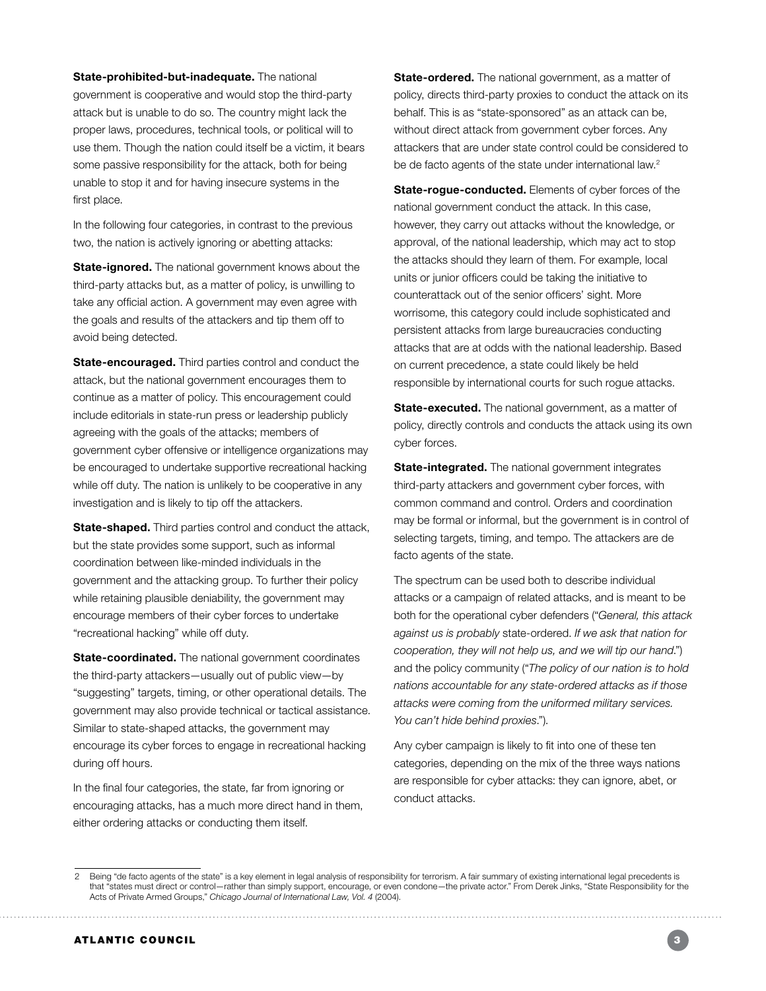State-prohibited-but-inadequate. The national government is cooperative and would stop the third-party attack but is unable to do so. The country might lack the proper laws, procedures, technical tools, or political will to use them. Though the nation could itself be a victim, it bears some passive responsibility for the attack, both for being unable to stop it and for having insecure systems in the first place.

In the following four categories, in contrast to the previous two, the nation is actively ignoring or abetting attacks:

State-ignored. The national government knows about the third-party attacks but, as a matter of policy, is unwilling to take any official action. A government may even agree with the goals and results of the attackers and tip them off to avoid being detected.

State-encouraged. Third parties control and conduct the attack, but the national government encourages them to continue as a matter of policy. This encouragement could include editorials in state-run press or leadership publicly agreeing with the goals of the attacks; members of government cyber offensive or intelligence organizations may be encouraged to undertake supportive recreational hacking while off duty. The nation is unlikely to be cooperative in any investigation and is likely to tip off the attackers.

State-shaped. Third parties control and conduct the attack, but the state provides some support, such as informal coordination between like-minded individuals in the government and the attacking group. To further their policy while retaining plausible deniability, the government may encourage members of their cyber forces to undertake "recreational hacking" while off duty.

State-coordinated. The national government coordinates the third-party attackers—usually out of public view—by "suggesting" targets, timing, or other operational details. The government may also provide technical or tactical assistance. Similar to state-shaped attacks, the government may encourage its cyber forces to engage in recreational hacking during off hours.

In the final four categories, the state, far from ignoring or encouraging attacks, has a much more direct hand in them, either ordering attacks or conducting them itself.

State-ordered. The national government, as a matter of policy, directs third-party proxies to conduct the attack on its behalf. This is as "state-sponsored" as an attack can be, without direct attack from government cyber forces. Any attackers that are under state control could be considered to be de facto agents of the state under international law.<sup>2</sup>

**State-rogue-conducted.** Elements of cyber forces of the national government conduct the attack. In this case, however, they carry out attacks without the knowledge, or approval, of the national leadership, which may act to stop the attacks should they learn of them. For example, local units or junior officers could be taking the initiative to counterattack out of the senior officers' sight. More worrisome, this category could include sophisticated and persistent attacks from large bureaucracies conducting attacks that are at odds with the national leadership. Based on current precedence, a state could likely be held responsible by international courts for such rogue attacks.

State-executed. The national government, as a matter of policy, directly controls and conducts the attack using its own cyber forces.

State-integrated. The national government integrates third-party attackers and government cyber forces, with common command and control. Orders and coordination may be formal or informal, but the government is in control of selecting targets, timing, and tempo. The attackers are de facto agents of the state.

The spectrum can be used both to describe individual attacks or a campaign of related attacks, and is meant to be both for the operational cyber defenders ("*General, this attack against us is probably* state-ordered. *If we ask that nation for cooperation, they will not help us, and we will tip our hand*.") and the policy community ("*The policy of our nation is to hold nations accountable for any state-ordered attacks as if those attacks were coming from the uniformed military services. You can't hide behind proxies*.").

Any cyber campaign is likely to fit into one of these ten categories, depending on the mix of the three ways nations are responsible for cyber attacks: they can ignore, abet, or conduct attacks.

. . . . . . . . . . . . . . . . . . .

<sup>2</sup> Being "de facto agents of the state" is a key element in legal analysis of responsibility for terrorism. A fair summary of existing international legal precedents is that "states must direct or control—rather than simply support, encourage, or even condone—the private actor." From Derek Jinks, "State Responsibility for the Acts of Private Armed Groups," *Chicago Journal of International Law, Vol. 4* (2004).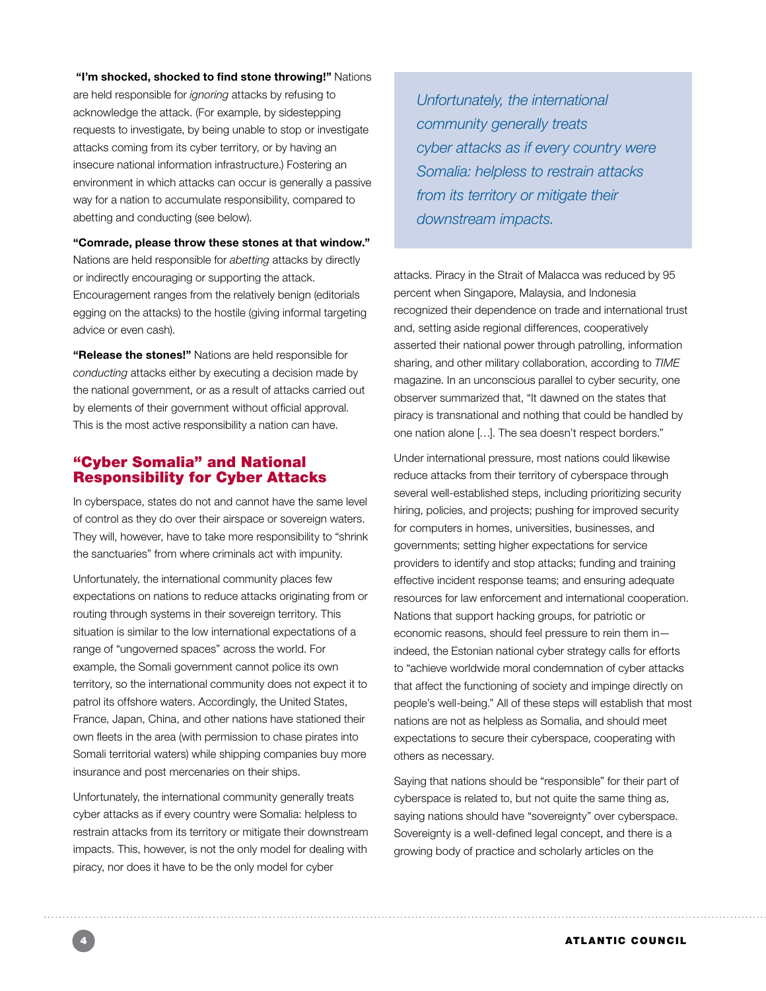#### "I'm shocked, shocked to find stone throwing!" Nations

are held responsible for *ignoring* attacks by refusing to acknowledge the attack. (For example, by sidestepping requests to investigate, by being unable to stop or investigate attacks coming from its cyber territory, or by having an insecure national information infrastructure.) Fostering an environment in which attacks can occur is generally a passive way for a nation to accumulate responsibility, compared to abetting and conducting (see below).

"Comrade, please throw these stones at that window." Nations are held responsible for *abetting* attacks by directly or indirectly encouraging or supporting the attack. Encouragement ranges from the relatively benign (editorials egging on the attacks) to the hostile (giving informal targeting advice or even cash).

"Release the stones!" Nations are held responsible for *conducting* attacks either by executing a decision made by the national government, or as a result of attacks carried out by elements of their government without official approval. This is the most active responsibility a nation can have.

# "Cyber Somalia" and National Responsibility for Cyber Attacks

In cyberspace, states do not and cannot have the same level of control as they do over their airspace or sovereign waters. They will, however, have to take more responsibility to "shrink the sanctuaries" from where criminals act with impunity.

Unfortunately, the international community places few expectations on nations to reduce attacks originating from or routing through systems in their sovereign territory. This situation is similar to the low international expectations of a range of "ungoverned spaces" across the world. For example, the Somali government cannot police its own territory, so the international community does not expect it to patrol its offshore waters. Accordingly, the United States, France, Japan, China, and other nations have stationed their own fleets in the area (with permission to chase pirates into Somali territorial waters) while shipping companies buy more insurance and post mercenaries on their ships.

Unfortunately, the international community generally treats cyber attacks as if every country were Somalia: helpless to restrain attacks from its territory or mitigate their downstream impacts. This, however, is not the only model for dealing with piracy, nor does it have to be the only model for cyber

*Unfortunately, the international community generally treats cyber attacks as if every country were Somalia: helpless to restrain attacks from its territory or mitigate their downstream impacts.*

attacks. Piracy in the Strait of Malacca was reduced by 95 percent when Singapore, Malaysia, and Indonesia recognized their dependence on trade and international trust and, setting aside regional differences, cooperatively asserted their national power through patrolling, information sharing, and other military collaboration, according to *TIME* magazine. In an unconscious parallel to cyber security, one observer summarized that, "It dawned on the states that piracy is transnational and nothing that could be handled by one nation alone […]. The sea doesn't respect borders."

Under international pressure, most nations could likewise reduce attacks from their territory of cyberspace through several well-established steps, including prioritizing security hiring, policies, and projects; pushing for improved security for computers in homes, universities, businesses, and governments; setting higher expectations for service providers to identify and stop attacks; funding and training effective incident response teams; and ensuring adequate resources for law enforcement and international cooperation. Nations that support hacking groups, for patriotic or economic reasons, should feel pressure to rein them in indeed, the Estonian national cyber strategy calls for efforts to "achieve worldwide moral condemnation of cyber attacks that affect the functioning of society and impinge directly on people's well-being." All of these steps will establish that most nations are not as helpless as Somalia, and should meet expectations to secure their cyberspace, cooperating with others as necessary.

Saying that nations should be "responsible" for their part of cyberspace is related to, but not quite the same thing as, saying nations should have "sovereignty" over cyberspace. Sovereignty is a well-defined legal concept, and there is a growing body of practice and scholarly articles on the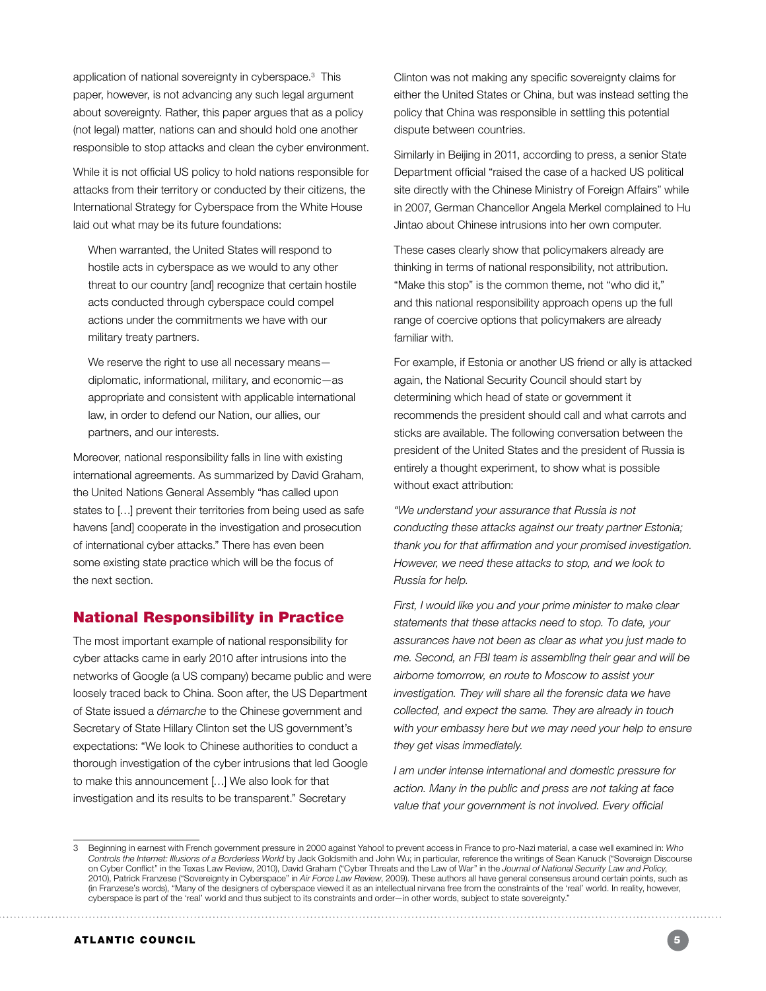application of national sovereignty in cyberspace.3 This paper, however, is not advancing any such legal argument about sovereignty. Rather, this paper argues that as a policy (not legal) matter, nations can and should hold one another responsible to stop attacks and clean the cyber environment.

While it is not official US policy to hold nations responsible for attacks from their territory or conducted by their citizens, the International Strategy for Cyberspace from the White House laid out what may be its future foundations:

When warranted, the United States will respond to hostile acts in cyberspace as we would to any other threat to our country [and] recognize that certain hostile acts conducted through cyberspace could compel actions under the commitments we have with our military treaty partners.

We reserve the right to use all necessary means diplomatic, informational, military, and economic—as appropriate and consistent with applicable international law, in order to defend our Nation, our allies, our partners, and our interests.

Moreover, national responsibility falls in line with existing international agreements. As summarized by David Graham, the United Nations General Assembly "has called upon states to […] prevent their territories from being used as safe havens [and] cooperate in the investigation and prosecution of international cyber attacks." There has even been some existing state practice which will be the focus of the next section.

# National Responsibility in Practice

The most important example of national responsibility for cyber attacks came in early 2010 after intrusions into the networks of Google (a US company) became public and were loosely traced back to China. Soon after, the US Department of State issued a *démarche* to the Chinese government and Secretary of State Hillary Clinton set the US government's expectations: "We look to Chinese authorities to conduct a thorough investigation of the cyber intrusions that led Google to make this announcement […] We also look for that investigation and its results to be transparent." Secretary

Clinton was not making any specific sovereignty claims for either the United States or China, but was instead setting the policy that China was responsible in settling this potential dispute between countries.

Similarly in Beijing in 2011, according to press, a senior State Department official "raised the case of a hacked US political site directly with the Chinese Ministry of Foreign Affairs" while in 2007, German Chancellor Angela Merkel complained to Hu Jintao about Chinese intrusions into her own computer.

These cases clearly show that policymakers already are thinking in terms of national responsibility, not attribution. "Make this stop" is the common theme, not "who did it," and this national responsibility approach opens up the full range of coercive options that policymakers are already familiar with.

For example, if Estonia or another US friend or ally is attacked again, the National Security Council should start by determining which head of state or government it recommends the president should call and what carrots and sticks are available. The following conversation between the president of the United States and the president of Russia is entirely a thought experiment, to show what is possible without exact attribution:

*"We understand your assurance that Russia is not conducting these attacks against our treaty partner Estonia; thank you for that affirmation and your promised investigation. However, we need these attacks to stop, and we look to Russia for help.* 

*First, I would like you and your prime minister to make clear statements that these attacks need to stop. To date, your assurances have not been as clear as what you just made to me. Second, an FBI team is assembling their gear and will be airborne tomorrow, en route to Moscow to assist your investigation. They will share all the forensic data we have collected, and expect the same. They are already in touch with your embassy here but we may need your help to ensure they get visas immediately.* 

*I am under intense international and domestic pressure for action. Many in the public and press are not taking at face value that your government is not involved. Every official* 

<sup>3</sup> Beginning in earnest with French government pressure in 2000 against Yahoo! to prevent access in France to pro-Nazi material, a case well examined in: *Who Controls the Internet: Illusions of a Borderless World* by Jack Goldsmith and John Wu; in particular, reference the writings of Sean Kanuck ("Sovereign Discourse on Cyber Conflict" in the Texas Law Review, 2010), David Graham ("Cyber Threats and the Law of War" in the *Journal of National Security Law and Policy*, 2010), Patrick Franzese ("Sovereignty in Cyberspace" in *Air Force Law Review*, 2009). These authors all have general consensus around certain points, such as (in Franzese's words), "Many of the designers of cyberspace viewed it as an intellectual nirvana free from the constraints of the 'real' world. In reality, however, cyberspace is part of the 'real' world and thus subject to its constraints and order—in other words, subject to state sovereignty."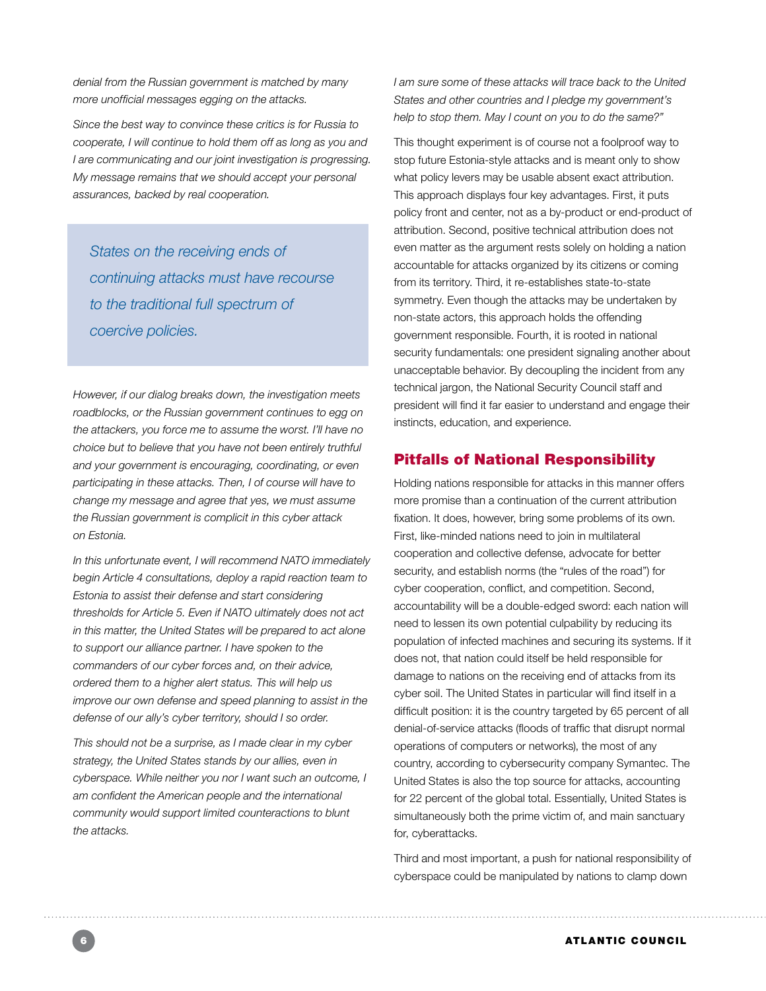*denial from the Russian government is matched by many more unofficial messages egging on the attacks.* 

*Since the best way to convince these critics is for Russia to cooperate, I will continue to hold them off as long as you and I are communicating and our joint investigation is progressing. My message remains that we should accept your personal assurances, backed by real cooperation.* 

*States on the receiving ends of continuing attacks must have recourse to the traditional full spectrum of coercive policies.*

*However, if our dialog breaks down, the investigation meets roadblocks, or the Russian government continues to egg on the attackers, you force me to assume the worst. I'll have no choice but to believe that you have not been entirely truthful and your government is encouraging, coordinating, or even participating in these attacks. Then, I of course will have to change my message and agree that yes, we must assume the Russian government is complicit in this cyber attack on Estonia.* 

*In this unfortunate event, I will recommend NATO immediately begin Article 4 consultations, deploy a rapid reaction team to Estonia to assist their defense and start considering thresholds for Article 5. Even if NATO ultimately does not act in this matter, the United States will be prepared to act alone to support our alliance partner. I have spoken to the commanders of our cyber forces and, on their advice, ordered them to a higher alert status. This will help us improve our own defense and speed planning to assist in the defense of our ally's cyber territory, should I so order.* 

*This should not be a surprise, as I made clear in my cyber strategy, the United States stands by our allies, even in cyberspace. While neither you nor I want such an outcome, I am confident the American people and the international community would support limited counteractions to blunt the attacks.*

*I am sure some of these attacks will trace back to the United States and other countries and I pledge my government's help to stop them. May I count on you to do the same?"*

This thought experiment is of course not a foolproof way to stop future Estonia-style attacks and is meant only to show what policy levers may be usable absent exact attribution. This approach displays four key advantages. First, it puts policy front and center, not as a by-product or end-product of attribution. Second, positive technical attribution does not even matter as the argument rests solely on holding a nation accountable for attacks organized by its citizens or coming from its territory. Third, it re-establishes state-to-state symmetry. Even though the attacks may be undertaken by non-state actors, this approach holds the offending government responsible. Fourth, it is rooted in national security fundamentals: one president signaling another about unacceptable behavior. By decoupling the incident from any technical jargon, the National Security Council staff and president will find it far easier to understand and engage their instincts, education, and experience.

# Pitfalls of National Responsibility

Holding nations responsible for attacks in this manner offers more promise than a continuation of the current attribution fixation. It does, however, bring some problems of its own. First, like-minded nations need to join in multilateral cooperation and collective defense, advocate for better security, and establish norms (the "rules of the road") for cyber cooperation, conflict, and competition. Second, accountability will be a double-edged sword: each nation will need to lessen its own potential culpability by reducing its population of infected machines and securing its systems. If it does not, that nation could itself be held responsible for damage to nations on the receiving end of attacks from its cyber soil. The United States in particular will find itself in a difficult position: it is the country targeted by 65 percent of all denial-of-service attacks (floods of traffic that disrupt normal operations of computers or networks), the most of any country, according to cybersecurity company Symantec. The United States is also the top source for attacks, accounting for 22 percent of the global total. Essentially, United States is simultaneously both the prime victim of, and main sanctuary for, cyberattacks.

Third and most important, a push for national responsibility of cyberspace could be manipulated by nations to clamp down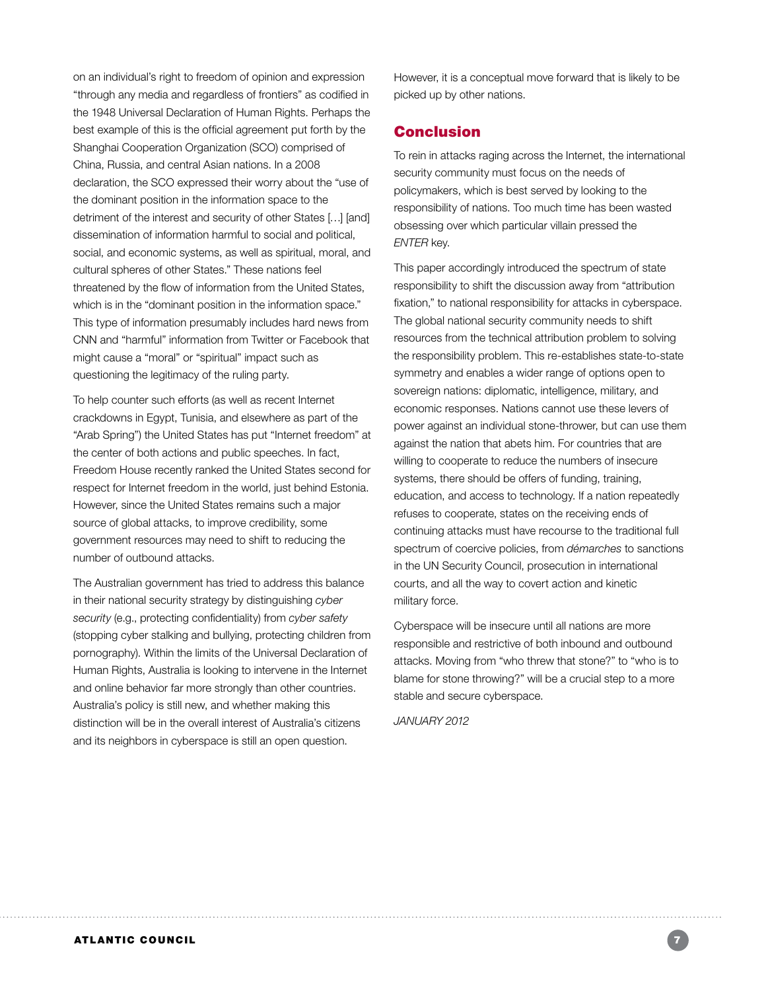on an individual's right to freedom of opinion and expression "through any media and regardless of frontiers" as codified in the 1948 Universal Declaration of Human Rights. Perhaps the best example of this is the official agreement put forth by the Shanghai Cooperation Organization (SCO) comprised of China, Russia, and central Asian nations. In a 2008 declaration, the SCO expressed their worry about the "use of the dominant position in the information space to the detriment of the interest and security of other States […] [and] dissemination of information harmful to social and political, social, and economic systems, as well as spiritual, moral, and cultural spheres of other States." These nations feel threatened by the flow of information from the United States, which is in the "dominant position in the information space." This type of information presumably includes hard news from CNN and "harmful" information from Twitter or Facebook that might cause a "moral" or "spiritual" impact such as questioning the legitimacy of the ruling party.

To help counter such efforts (as well as recent Internet crackdowns in Egypt, Tunisia, and elsewhere as part of the "Arab Spring") the United States has put "Internet freedom" at the center of both actions and public speeches. In fact, Freedom House recently ranked the United States second for respect for Internet freedom in the world, just behind Estonia. However, since the United States remains such a major source of global attacks, to improve credibility, some government resources may need to shift to reducing the number of outbound attacks.

The Australian government has tried to address this balance in their national security strategy by distinguishing *cyber security* (e.g., protecting confidentiality) from *cyber safety* (stopping cyber stalking and bullying, protecting children from pornography). Within the limits of the Universal Declaration of Human Rights, Australia is looking to intervene in the Internet and online behavior far more strongly than other countries. Australia's policy is still new, and whether making this distinction will be in the overall interest of Australia's citizens and its neighbors in cyberspace is still an open question.

However, it is a conceptual move forward that is likely to be picked up by other nations.

# Conclusion

To rein in attacks raging across the Internet, the international security community must focus on the needs of policymakers, which is best served by looking to the responsibility of nations. Too much time has been wasted obsessing over which particular villain pressed the *ENTER* key.

This paper accordingly introduced the spectrum of state responsibility to shift the discussion away from "attribution fixation," to national responsibility for attacks in cyberspace. The global national security community needs to shift resources from the technical attribution problem to solving the responsibility problem. This re-establishes state-to-state symmetry and enables a wider range of options open to sovereign nations: diplomatic, intelligence, military, and economic responses. Nations cannot use these levers of power against an individual stone-thrower, but can use them against the nation that abets him. For countries that are willing to cooperate to reduce the numbers of insecure systems, there should be offers of funding, training, education, and access to technology. If a nation repeatedly refuses to cooperate, states on the receiving ends of continuing attacks must have recourse to the traditional full spectrum of coercive policies, from *démarches* to sanctions in the UN Security Council, prosecution in international courts, and all the way to covert action and kinetic military force.

Cyberspace will be insecure until all nations are more responsible and restrictive of both inbound and outbound attacks. Moving from "who threw that stone?" to "who is to blame for stone throwing?" will be a crucial step to a more stable and secure cyberspace.

*JANUARY 2012*